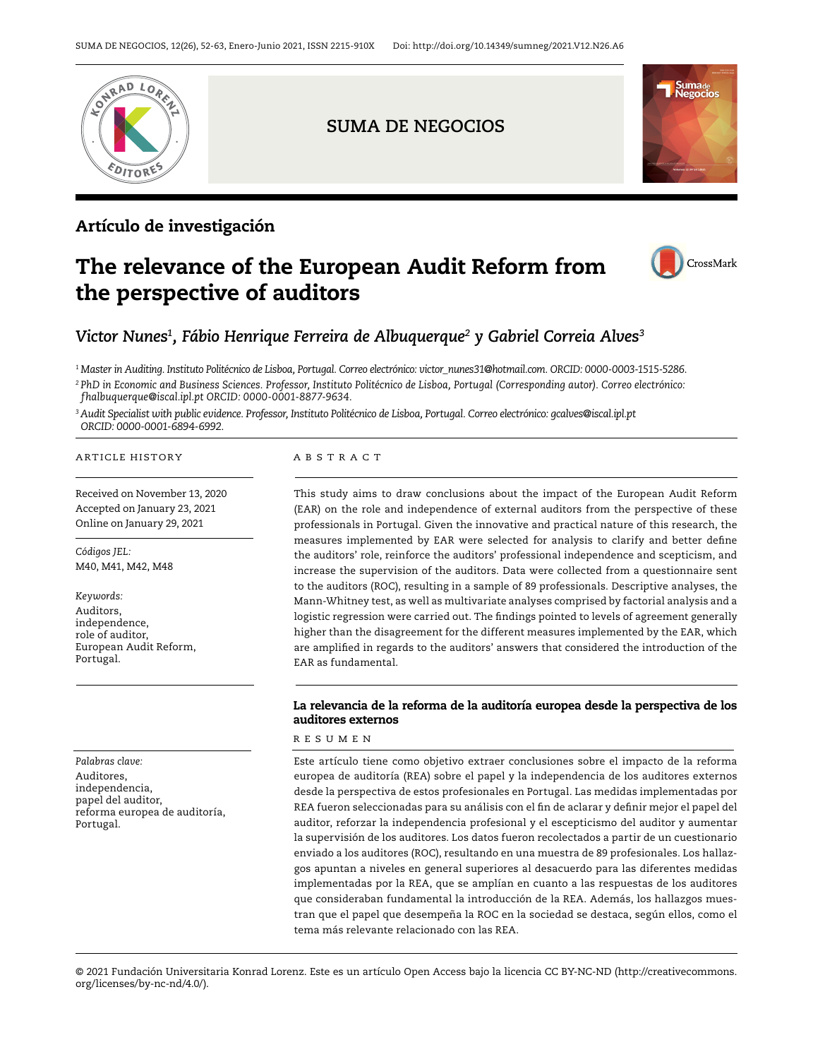

## Artículo de investigación

# The relevance of the European Audit Reform from the perspective of auditors



# *Victor Nunes1, Fábio Henrique Ferreira de Albuquerque2 y Gabriel Correia Alves3*

*1 Master in Auditing. Instituto Politécnico de Lisboa, Portugal. Correo electrónico: [victor\\_nunes31@hotmail.com.](mailto:victor_nunes31@hotmail.com) ORCID: 0000-0003-1515-5286.* 

*<sup>2</sup> PhD in Economic and Business Sciences. Professor, Instituto Politécnico de Lisboa, Portugal (Corresponding autor). Correo electrónico: [fhalbuquerque@iscal.ipl.pt](mailto:fhalbuquerque@iscal.ipl.pt) ORCID: 0000-0001-8877-9634.*

*3 Audit Specialist with public evidence. Professor, Instituto Politécnico de Lisboa, Portugal. Correo electrónico: [gcalves@iscal.ipl.pt](mailto:gcalves@iscal.ipl.pt) ORCID: 0000-0001-6894-6992.*

#### ARTICLE HISTORY A B S T R A C T

Received on November 13, 2020 Accepted on January 23, 2021 Online on January 29, 2021

*Códigos JEL:* M40, M41, M42, M48

*Keywords:*  Auditors, independence, role of auditor, European Audit Reform, Portugal.

*Palabras clave:* Auditores, independencia, papel del auditor, reforma europea de auditoría, Portugal.

This study aims to draw conclusions about the impact of the European Audit Reform (EAR) on the role and independence of external auditors from the perspective of these professionals in Portugal. Given the innovative and practical nature of this research, the measures implemented by EAR were selected for analysis to clarify and better define the auditors' role, reinforce the auditors' professional independence and scepticism, and increase the supervision of the auditors. Data were collected from a questionnaire sent to the auditors (ROC), resulting in a sample of 89 professionals. Descriptive analyses, the Mann-Whitney test, as well as multivariate analyses comprised by factorial analysis and a logistic regression were carried out. The findings pointed to levels of agreement generally higher than the disagreement for the different measures implemented by the EAR, which are amplified in regards to the auditors' answers that considered the introduction of the EAR as fundamental.

#### La relevancia de la reforma de la auditoría europea desde la perspectiva de los auditores externos

#### R E S U M E N

Este artículo tiene como objetivo extraer conclusiones sobre el impacto de la reforma europea de auditoría (REA) sobre el papel y la independencia de los auditores externos desde la perspectiva de estos profesionales en Portugal. Las medidas implementadas por REA fueron seleccionadas para su análisis con el fin de aclarar y definir mejor el papel del auditor, reforzar la independencia profesional y el escepticismo del auditor y aumentar la supervisión de los auditores. Los datos fueron recolectados a partir de un cuestionario enviado a los auditores (ROC), resultando en una muestra de 89 profesionales. Los hallazgos apuntan a niveles en general superiores al desacuerdo para las diferentes medidas implementadas por la REA, que se amplían en cuanto a las respuestas de los auditores que consideraban fundamental la introducción de la REA. Además, los hallazgos muestran que el papel que desempeña la ROC en la sociedad se destaca, según ellos, como el tema más relevante relacionado con las REA.

© 2021 Fundación Universitaria Konrad Lorenz. Este es un artículo Open Access bajo la licencia CC BY-NC-ND (http://creativecommons. org/licenses/by-nc-nd/4.0/).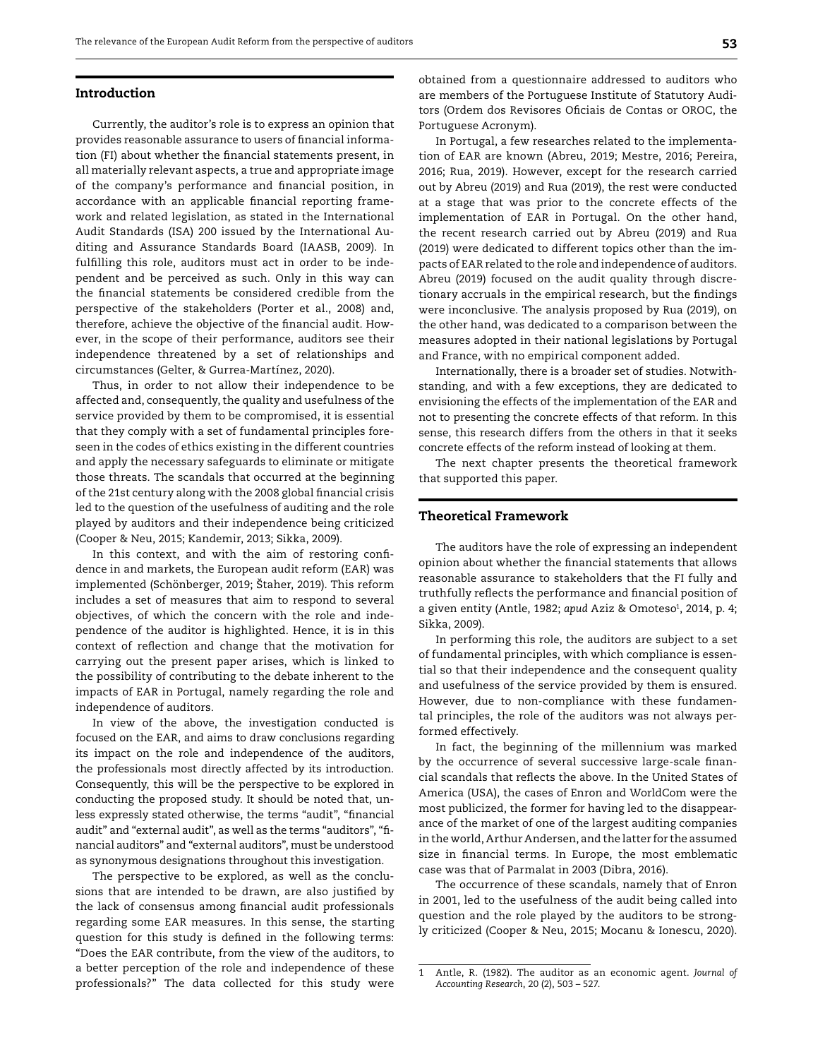#### Introduction

Currently, the auditor's role is to express an opinion that provides reasonable assurance to users of financial information (FI) about whether the financial statements present, in all materially relevant aspects, a true and appropriate image of the company's performance and financial position, in accordance with an applicable financial reporting framework and related legislation, as stated in the International Audit Standards (ISA) 200 issued by the International Auditing and Assurance Standards Board (IAASB, 2009). In fulfilling this role, auditors must act in order to be independent and be perceived as such. Only in this way can the financial statements be considered credible from the perspective of the stakeholders (Porter et al., 2008) and, therefore, achieve the objective of the financial audit. However, in the scope of their performance, auditors see their independence threatened by a set of relationships and circumstances (Gelter, & Gurrea-Martínez, 2020).

Thus, in order to not allow their independence to be affected and, consequently, the quality and usefulness of the service provided by them to be compromised, it is essential that they comply with a set of fundamental principles foreseen in the codes of ethics existing in the different countries and apply the necessary safeguards to eliminate or mitigate those threats. The scandals that occurred at the beginning of the 21st century along with the 2008 global financial crisis led to the question of the usefulness of auditing and the role played by auditors and their independence being criticized (Cooper & Neu, 2015; Kandemir, 2013; Sikka, 2009).

In this context, and with the aim of restoring confidence in and markets, the European audit reform (EAR) was implemented (Schönberger, 2019; [Štaher, 2019\)](https://dk.um.si/Iskanje.php?type=napredno&stl0=Avtor&niz0=%C5%A0taher+Irena&lang=slv). This reform includes a set of measures that aim to respond to several objectives, of which the concern with the role and independence of the auditor is highlighted. Hence, it is in this context of reflection and change that the motivation for carrying out the present paper arises, which is linked to the possibility of contributing to the debate inherent to the impacts of EAR in Portugal, namely regarding the role and independence of auditors.

In view of the above, the investigation conducted is focused on the EAR, and aims to draw conclusions regarding its impact on the role and independence of the auditors, the professionals most directly affected by its introduction. Consequently, this will be the perspective to be explored in conducting the proposed study. It should be noted that, unless expressly stated otherwise, the terms "audit", "financial audit" and "external audit", as well as the terms "auditors", "financial auditors" and "external auditors", must be understood as synonymous designations throughout this investigation.

The perspective to be explored, as well as the conclusions that are intended to be drawn, are also justified by the lack of consensus among financial audit professionals regarding some EAR measures. In this sense, the starting question for this study is defined in the following terms: "Does the EAR contribute, from the view of the auditors, to a better perception of the role and independence of these professionals?" The data collected for this study were

In Portugal, a few researches related to the implementation of EAR are known (Abreu, 2019; Mestre, 2016; Pereira, 2016; Rua, 2019). However, except for the research carried out by Abreu (2019) and Rua (2019), the rest were conducted at a stage that was prior to the concrete effects of the implementation of EAR in Portugal. On the other hand, the recent research carried out by Abreu (2019) and Rua (2019) were dedicated to different topics other than the impacts of EAR related to the role and independence of auditors. Abreu (2019) focused on the audit quality through discretionary accruals in the empirical research, but the findings were inconclusive. The analysis proposed by Rua (2019), on the other hand, was dedicated to a comparison between the measures adopted in their national legislations by Portugal and France, with no empirical component added.

Internationally, there is a broader set of studies. Notwithstanding, and with a few exceptions, they are dedicated to envisioning the effects of the implementation of the EAR and not to presenting the concrete effects of that reform. In this sense, this research differs from the others in that it seeks concrete effects of the reform instead of looking at them.

The next chapter presents the theoretical framework that supported this paper.

#### Theoretical Framework

The auditors have the role of expressing an independent opinion about whether the financial statements that allows reasonable assurance to stakeholders that the FI fully and truthfully reflects the performance and financial position of a given entity (Antle, 1982; *apud* Aziz & Omoteso<sup>1</sup>, 2014, p. 4; Sikka, 2009).

In performing this role, the auditors are subject to a set of fundamental principles, with which compliance is essential so that their independence and the consequent quality and usefulness of the service provided by them is ensured. However, due to non-compliance with these fundamental principles, the role of the auditors was not always performed effectively.

In fact, the beginning of the millennium was marked by the occurrence of several successive large-scale financial scandals that reflects the above. In the United States of America (USA), the cases of Enron and WorldCom were the most publicized, the former for having led to the disappearance of the market of one of the largest auditing companies in the world, Arthur Andersen, and the latter for the assumed size in financial terms. In Europe, the most emblematic case was that of Parmalat in 2003 (Dibra, 2016).

The occurrence of these scandals, namely that of Enron in 2001, led to the usefulness of the audit being called into question and the role played by the auditors to be strongly criticized (Cooper & Neu, 2015; Mocanu & Ionescu, 2020).

<sup>1</sup> Antle, R. (1982). The auditor as an economic agent. *Journal of Accounting Research*, 20 (2), 503 – 527.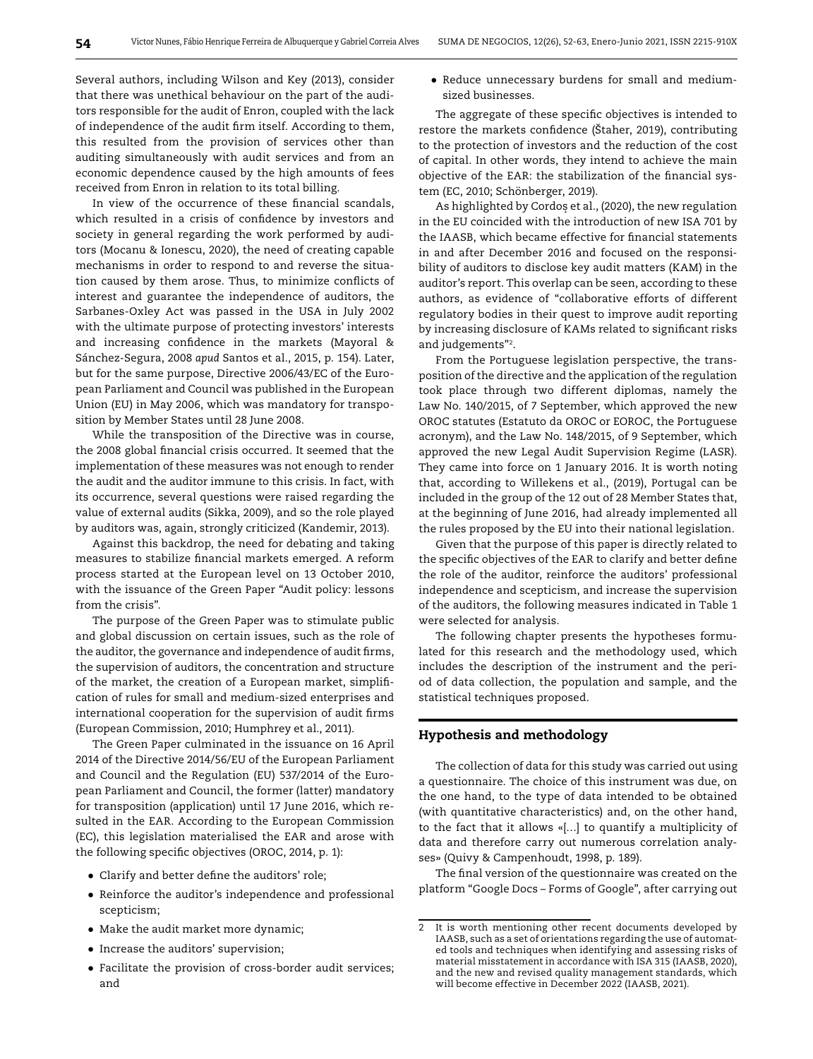Several authors, including Wilson and Key (2013), consider that there was unethical behaviour on the part of the auditors responsible for the audit of Enron, coupled with the lack of independence of the audit firm itself. According to them, this resulted from the provision of services other than auditing simultaneously with audit services and from an economic dependence caused by the high amounts of fees received from Enron in relation to its total billing.

In view of the occurrence of these financial scandals, which resulted in a crisis of confidence by investors and society in general regarding the work performed by auditors (Mocanu & Ionescu, 2020), the need of creating capable mechanisms in order to respond to and reverse the situation caused by them arose. Thus, to minimize conflicts of interest and guarantee the independence of auditors, the Sarbanes-Oxley Act was passed in the USA in July 2002 with the ultimate purpose of protecting investors' interests and increasing confidence in the markets (Mayoral & Sánchez-Segura, 2008 *apud* Santos et al., 2015, p. 154). Later, but for the same purpose, Directive 2006/43/EC of the European Parliament and Council was published in the European Union (EU) in May 2006, which was mandatory for transposition by Member States until 28 June 2008.

While the transposition of the Directive was in course, the 2008 global financial crisis occurred. It seemed that the implementation of these measures was not enough to render the audit and the auditor immune to this crisis. In fact, with its occurrence, several questions were raised regarding the value of external audits (Sikka, 2009), and so the role played by auditors was, again, strongly criticized (Kandemir, 2013).

Against this backdrop, the need for debating and taking measures to stabilize financial markets emerged. A reform process started at the European level on 13 October 2010, with the issuance of the Green Paper "Audit policy: lessons from the crisis".

The purpose of the Green Paper was to stimulate public and global discussion on certain issues, such as the role of the auditor, the governance and independence of audit firms, the supervision of auditors, the concentration and structure of the market, the creation of a European market, simplification of rules for small and medium-sized enterprises and international cooperation for the supervision of audit firms (European Commission, 2010; Humphrey et al., 2011).

The Green Paper culminated in the issuance on 16 April 2014 of the Directive 2014/56/EU of the European Parliament and Council and the Regulation (EU) 537/2014 of the European Parliament and Council, the former (latter) mandatory for transposition (application) until 17 June 2016, which resulted in the EAR. According to the European Commission (EC), this legislation materialised the EAR and arose with the following specific objectives (OROC, 2014, p. 1):

- Clarify and better define the auditors' role;
- Reinforce the auditor's independence and professional scepticism;
- Make the audit market more dynamic;
- Increase the auditors' supervision;
- Facilitate the provision of cross-border audit services; and

● Reduce unnecessary burdens for small and mediumsized businesses.

The aggregate of these specific objectives is intended to restore the markets confidence [\(Štaher, 2019](https://dk.um.si/Iskanje.php?type=napredno&stl0=Avtor&niz0=%C5%A0taher+Irena&lang=slv)), contributing to the protection of investors and the reduction of the cost of capital. In other words, they intend to achieve the main objective of the EAR: the stabilization of the financial system (EC, 2010; Schönberger, 2019).

As highlighted by Cordos et al., (2020), the new regulation *˛*in the EU coincided with the introduction of new ISA 701 by the IAASB, which became effective for financial statements in and after December 2016 and focused on the responsibility of auditors to disclose key audit matters (KAM) in the auditor's report. This overlap can be seen, according to these authors, as evidence of "collaborative efforts of different regulatory bodies in their quest to improve audit reporting by increasing disclosure of KAMs related to significant risks and judgements"2.

From the Portuguese legislation perspective, the transposition of the directive and the application of the regulation took place through two different diplomas, namely the Law No. 140/2015, of 7 September, which approved the new OROC statutes (Estatuto da OROC or EOROC, the Portuguese acronym), and the Law No. 148/2015, of 9 September, which approved the new Legal Audit Supervision Regime (LASR). They came into force on 1 January 2016. It is worth noting that, according to Willekens et al., (2019), Portugal can be included in the group of the 12 out of 28 Member States that, at the beginning of June 2016, had already implemented all the rules proposed by the EU into their national legislation.

Given that the purpose of this paper is directly related to the specific objectives of the EAR to clarify and better define the role of the auditor, reinforce the auditors' professional independence and scepticism, and increase the supervision of the auditors, the following measures indicated in Table 1 were selected for analysis.

The following chapter presents the hypotheses formulated for this research and the methodology used, which includes the description of the instrument and the period of data collection, the population and sample, and the statistical techniques proposed.

#### Hypothesis and methodology

The collection of data for this study was carried out using a questionnaire. The choice of this instrument was due, on the one hand, to the type of data intended to be obtained (with quantitative characteristics) and, on the other hand, to the fact that it allows «[…] to quantify a multiplicity of data and therefore carry out numerous correlation analyses» (Quivy & Campenhoudt, 1998, p. 189).

The final version of the questionnaire was created on the platform "Google Docs – Forms of Google", after carrying out

<sup>2</sup> It is worth mentioning other recent documents developed by IAASB, such as a set of orientations regarding the use of automated tools and techniques when identifying and assessing risks of material misstatement in accordance with ISA 315 (IAASB, 2020), and the new and revised quality management standards, which will become effective in December 2022 (IAASB, 2021).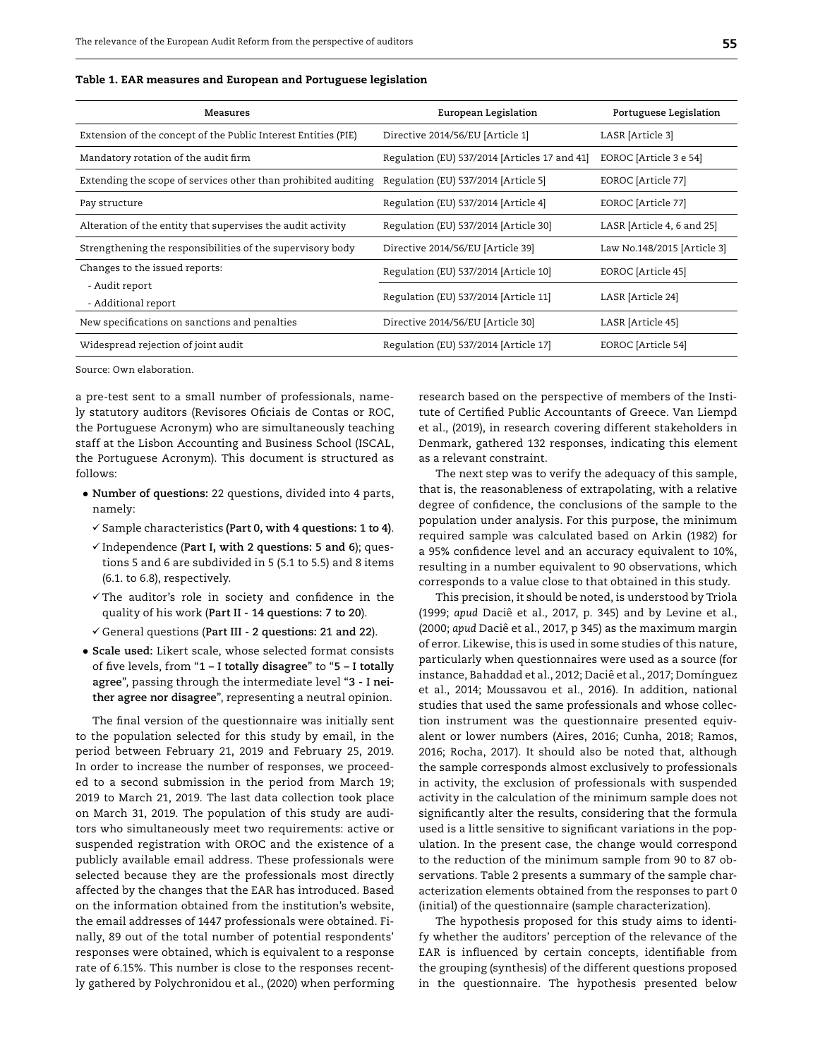| Table 1. EAR measures and European and Portuguese legislation |  |  |  |
|---------------------------------------------------------------|--|--|--|
|---------------------------------------------------------------|--|--|--|

| Measures                                                       | European Legislation                          | Portuguese Legislation      |
|----------------------------------------------------------------|-----------------------------------------------|-----------------------------|
| Extension of the concept of the Public Interest Entities (PIE) | Directive 2014/56/EU [Article 1]              | LASR [Article 3]            |
| Mandatory rotation of the audit firm                           | Regulation (EU) 537/2014 [Articles 17 and 41] | EOROC [Article 3 e 54]      |
| Extending the scope of services other than prohibited auditing | Regulation (EU) 537/2014 [Article 5]          | EOROC [Article 77]          |
| Pay structure                                                  | Regulation (EU) 537/2014 [Article 4]          | EOROC [Article 77]          |
| Alteration of the entity that supervises the audit activity    | Regulation (EU) 537/2014 [Article 30]         | LASR [Article 4, 6 and 25]  |
| Strengthening the responsibilities of the supervisory body     | Directive 2014/56/EU [Article 39]             | Law No.148/2015 [Article 3] |
| Changes to the issued reports:                                 | Regulation (EU) 537/2014 [Article 10]         | EOROC [Article 45]          |
| - Audit report<br>- Additional report                          | Regulation (EU) 537/2014 [Article 11]         | LASR [Article 24]           |
| New specifications on sanctions and penalties                  | Directive 2014/56/EU [Article 30]             | LASR [Article 45]           |
| Widespread rejection of joint audit                            | Regulation (EU) 537/2014 [Article 17]         | EOROC [Article 54]          |

Source: Own elaboration.

a pre-test sent to a small number of professionals, namely statutory auditors (Revisores Oficiais de Contas or ROC, the Portuguese Acronym) who are simultaneously teaching staff at the Lisbon Accounting and Business School (ISCAL, the Portuguese Acronym). This document is structured as follows:

- **Number of questions:** 22 questions, divided into 4 parts, namely:
	- ü Sample characteristics **(Part 0, with 4 questions: 1 to 4)**.
	- Independence (**Part I, with 2 questions: 5 and 6**); questions 5 and 6 are subdivided in 5 (5.1 to 5.5) and 8 items (6.1. to 6.8), respectively.
	- $\checkmark$  The auditor's role in society and confidence in the quality of his work (**Part II - 14 questions: 7 to 20**).
	- General questions (**Part III 2 questions: 21 and 22**).
- **Scale used:** Likert scale, whose selected format consists of five levels, from "**1 – I totally disagree**" to "**5 – I totally agree**", passing through the intermediate level "**3 - I neither agree nor disagree**", representing a neutral opinion.

The final version of the questionnaire was initially sent to the population selected for this study by email, in the period between February 21, 2019 and February 25, 2019. In order to increase the number of responses, we proceeded to a second submission in the period from March 19; 2019 to March 21, 2019. The last data collection took place on March 31, 2019. The population of this study are auditors who simultaneously meet two requirements: active or suspended registration with OROC and the existence of a publicly available email address. These professionals were selected because they are the professionals most directly affected by the changes that the EAR has introduced. Based on the information obtained from the institution's website, the email addresses of 1447 professionals were obtained. Finally, 89 out of the total number of potential respondents' responses were obtained, which is equivalent to a response rate of 6.15%. This number is close to the responses recently gathered by Polychronidou et al., (2020) when performing

research based on the perspective of members of the Institute of Certified Public Accountants of Greece. Van Liempd et al., (2019), in research covering different stakeholders in Denmark, gathered 132 responses, indicating this element as a relevant constraint.

The next step was to verify the adequacy of this sample, that is, the reasonableness of extrapolating, with a relative degree of confidence, the conclusions of the sample to the population under analysis. For this purpose, the minimum required sample was calculated based on Arkin (1982) for a 95% confidence level and an accuracy equivalent to 10%, resulting in a number equivalent to 90 observations, which corresponds to a value close to that obtained in this study.

This precision, it should be noted, is understood by Triola (1999; *apud* Daciê et al., 2017, p. 345) and by Levine et al., (2000; *apud* Daciê et al., 2017, p 345) as the maximum margin of error. Likewise, this is used in some studies of this nature, particularly when questionnaires were used as a source (for instance, Bahaddad et al., 2012; Daciê et al., 2017; Domínguez et al., 2014; Moussavou et al., 2016). In addition, national studies that used the same professionals and whose collection instrument was the questionnaire presented equivalent or lower numbers (Aires, 2016; Cunha, 2018; Ramos, 2016; Rocha, 2017). It should also be noted that, although the sample corresponds almost exclusively to professionals in activity, the exclusion of professionals with suspended activity in the calculation of the minimum sample does not significantly alter the results, considering that the formula used is a little sensitive to significant variations in the population. In the present case, the change would correspond to the reduction of the minimum sample from 90 to 87 observations. Table 2 presents a summary of the sample characterization elements obtained from the responses to part 0 (initial) of the questionnaire (sample characterization).

The hypothesis proposed for this study aims to identify whether the auditors' perception of the relevance of the EAR is influenced by certain concepts, identifiable from the grouping (synthesis) of the different questions proposed in the questionnaire. The hypothesis presented below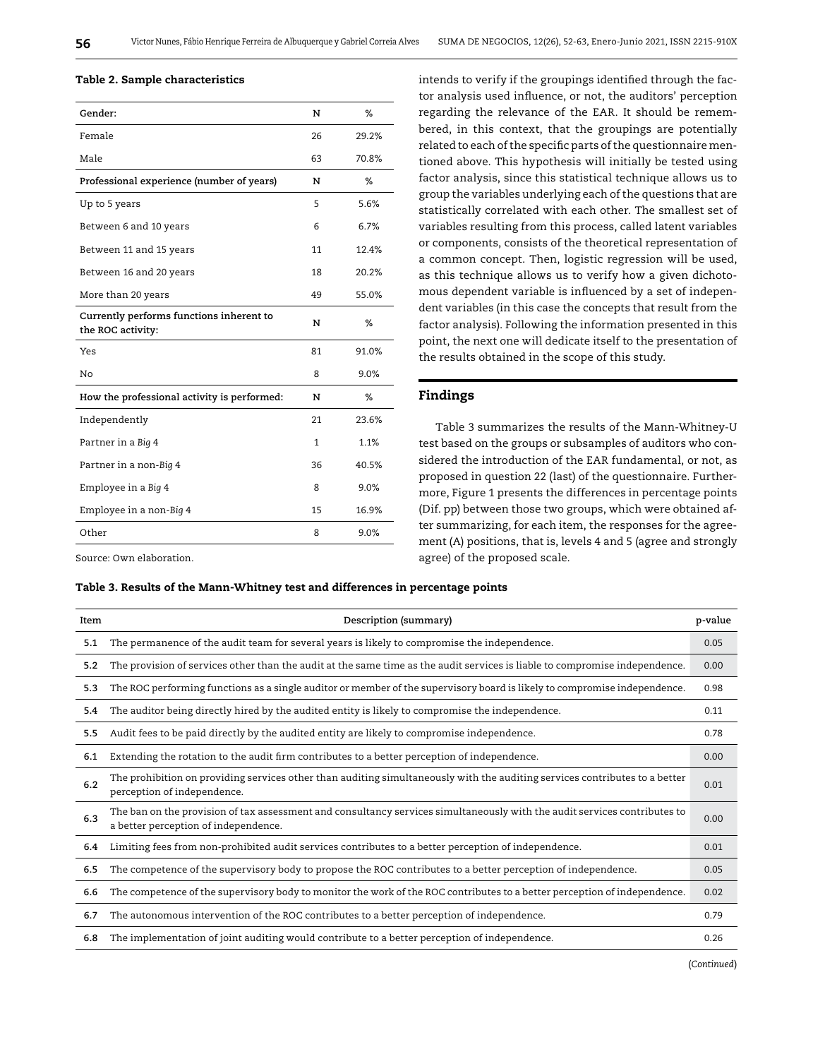#### Table 2. Sample characteristics

| Gender:                                                       | N            | %       |
|---------------------------------------------------------------|--------------|---------|
| Female                                                        | 26           | 29.2%   |
| Male                                                          | 63           | 70.8%   |
| Professional experience (number of years)                     | N            | %       |
| Up to 5 years                                                 | 5            | 5.6%    |
| Between 6 and 10 years                                        | 6            | 6.7%    |
| Between 11 and 15 years                                       | 11           | 12.4%   |
| Between 16 and 20 years                                       | 18           | 20.2%   |
| More than 20 years                                            | 49           | 55.0%   |
| Currently performs functions inherent to<br>the ROC activity: | N            | %       |
| Yes                                                           | 81           | 91.0%   |
| No                                                            | 8            | 9.0%    |
| How the professional activity is performed:                   | N            | %       |
| Independently                                                 | 21           | 23.6%   |
| Partner in a Big 4                                            | $\mathbf{1}$ | 1.1%    |
| Partner in a non-Big 4                                        | 36           | 40.5%   |
| Employee in a Big 4                                           | 8            | $9.0\%$ |
| Employee in a non-Big 4                                       | 15           | 16.9%   |
| Other                                                         | 8            | 9.0%    |

intends to verify if the groupings identified through the factor analysis used influence, or not, the auditors' perception regarding the relevance of the EAR. It should be remembered, in this context, that the groupings are potentially related to each of the specific parts of the questionnaire mentioned above. This hypothesis will initially be tested using factor analysis, since this statistical technique allows us to group the variables underlying each of the questions that are statistically correlated with each other. The smallest set of variables resulting from this process, called latent variables or components, consists of the theoretical representation of a common concept. Then, logistic regression will be used, as this technique allows us to verify how a given dichotomous dependent variable is influenced by a set of independent variables (in this case the concepts that result from the factor analysis). Following the information presented in this point, the next one will dedicate itself to the presentation of the results obtained in the scope of this study.

#### Findings

Table 3 summarizes the results of the Mann-Whitney-U test based on the groups or subsamples of auditors who considered the introduction of the EAR fundamental, or not, as proposed in question 22 (last) of the questionnaire. Furthermore, Figure 1 presents the differences in percentage points (Dif. pp) between those two groups, which were obtained after summarizing, for each item, the responses for the agreement (A) positions, that is, levels 4 and 5 (agree and strongly agree) of the proposed scale.

Source: Own elaboration.

#### Table 3. Results of the Mann-Whitney test and differences in percentage points

| Item | Description (summary)                                                                                                                                             | p-value |
|------|-------------------------------------------------------------------------------------------------------------------------------------------------------------------|---------|
| 5.1  | The permanence of the audit team for several years is likely to compromise the independence.                                                                      | 0.05    |
| 5.2  | The provision of services other than the audit at the same time as the audit services is liable to compromise independence.                                       | 0.00    |
| 5.3  | The ROC performing functions as a single auditor or member of the supervisory board is likely to compromise independence.                                         | 0.98    |
| 5.4  | The auditor being directly hired by the audited entity is likely to compromise the independence.                                                                  | 0.11    |
| 5.5  | Audit fees to be paid directly by the audited entity are likely to compromise independence.                                                                       | 0.78    |
| 6.1  | Extending the rotation to the audit firm contributes to a better perception of independence.                                                                      | 0.00    |
| 6.2  | The prohibition on providing services other than auditing simultaneously with the auditing services contributes to a better<br>perception of independence.        | 0.01    |
| 6.3  | The ban on the provision of tax assessment and consultancy services simultaneously with the audit services contributes to<br>a better perception of independence. | 0.00    |
| 6.4  | Limiting fees from non-prohibited audit services contributes to a better perception of independence.                                                              | 0.01    |
| 6.5  | The competence of the supervisory body to propose the ROC contributes to a better perception of independence.                                                     | 0.05    |
| 6.6  | The competence of the supervisory body to monitor the work of the ROC contributes to a better perception of independence.                                         | 0.02    |
| 6.7  | The autonomous intervention of the ROC contributes to a better perception of independence.                                                                        | 0.79    |
| 6.8  | The implementation of joint auditing would contribute to a better perception of independence.                                                                     | 0.26    |

(*Continued*)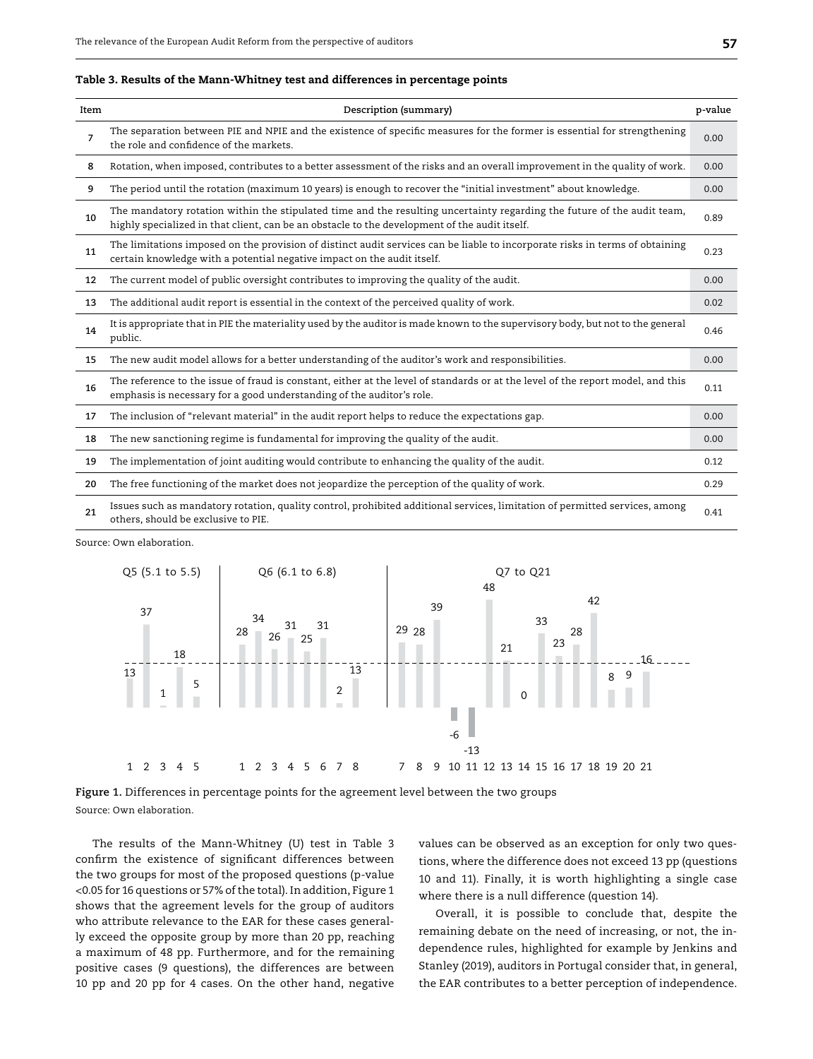| Table 3. Results of the Mann-Whitney test and differences in percentage points |  |  |  |
|--------------------------------------------------------------------------------|--|--|--|
|--------------------------------------------------------------------------------|--|--|--|

| Item | Description (summary)                                                                                                                                                                                                    | p-value |
|------|--------------------------------------------------------------------------------------------------------------------------------------------------------------------------------------------------------------------------|---------|
| 7    | The separation between PIE and NPIE and the existence of specific measures for the former is essential for strengthening<br>the role and confidence of the markets.                                                      | 0.00    |
| 8    | Rotation, when imposed, contributes to a better assessment of the risks and an overall improvement in the quality of work.                                                                                               | 0.00    |
| 9    | The period until the rotation (maximum 10 years) is enough to recover the "initial investment" about knowledge.                                                                                                          | 0.00    |
| 10   | The mandatory rotation within the stipulated time and the resulting uncertainty regarding the future of the audit team,<br>highly specialized in that client, can be an obstacle to the development of the audit itself. | 0.89    |
| 11   | The limitations imposed on the provision of distinct audit services can be liable to incorporate risks in terms of obtaining<br>certain knowledge with a potential negative impact on the audit itself.                  | 0.23    |
| 12   | The current model of public oversight contributes to improving the quality of the audit.                                                                                                                                 | 0.00    |
| 13   | The additional audit report is essential in the context of the perceived quality of work.                                                                                                                                | 0.02    |
| 14   | It is appropriate that in PIE the materiality used by the auditor is made known to the supervisory body, but not to the general<br>public.                                                                               | 0.46    |
| 15   | The new audit model allows for a better understanding of the auditor's work and responsibilities.                                                                                                                        | 0.00    |
| 16   | The reference to the issue of fraud is constant, either at the level of standards or at the level of the report model, and this<br>emphasis is necessary for a good understanding of the auditor's role.                 | 0.11    |
| 17   | The inclusion of "relevant material" in the audit report helps to reduce the expectations gap.                                                                                                                           | 0.00    |
| 18   | The new sanctioning regime is fundamental for improving the quality of the audit.                                                                                                                                        | 0.00    |
| 19   | The implementation of joint auditing would contribute to enhancing the quality of the audit.                                                                                                                             | 0.12    |
| 20   | The free functioning of the market does not jeopardize the perception of the quality of work.                                                                                                                            | 0.29    |
| 21   | Issues such as mandatory rotation, quality control, prohibited additional services, limitation of permitted services, among<br>others, should be exclusive to PIE.                                                       | 0.41    |

Source: Own elaboration.



**Figure 1.** Differences in percentage points for the agreement level between the two groups Source: Own elaboration.

The results of the Mann-Whitney (U) test in Table 3 confirm the existence of significant differences between the two groups for most of the proposed questions (p-value <0.05 for 16 questions or 57% of the total). In addition, Figure 1 shows that the agreement levels for the group of auditors who attribute relevance to the EAR for these cases generally exceed the opposite group by more than 20 pp, reaching a maximum of 48 pp. Furthermore, and for the remaining positive cases (9 questions), the differences are between 10 pp and 20 pp for 4 cases. On the other hand, negative values can be observed as an exception for only two questions, where the difference does not exceed 13 pp (questions 10 and 11). Finally, it is worth highlighting a single case where there is a null difference (question 14).

Overall, it is possible to conclude that, despite the remaining debate on the need of increasing, or not, the independence rules, highlighted for example by Jenkins and Stanley (2019), auditors in Portugal consider that, in general, the EAR contributes to a better perception of independence.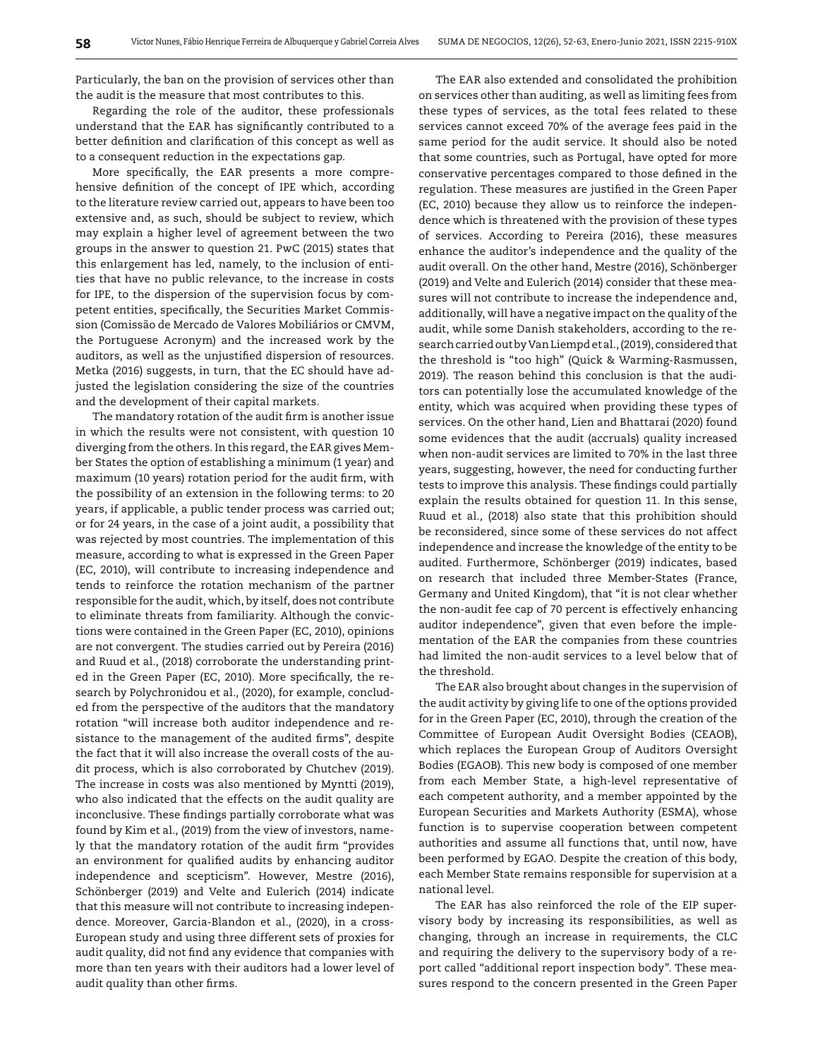Particularly, the ban on the provision of services other than the audit is the measure that most contributes to this.

Regarding the role of the auditor, these professionals understand that the EAR has significantly contributed to a better definition and clarification of this concept as well as to a consequent reduction in the expectations gap.

More specifically, the EAR presents a more comprehensive definition of the concept of IPE which, according to the literature review carried out, appears to have been too extensive and, as such, should be subject to review, which may explain a higher level of agreement between the two groups in the answer to question 21. PwC (2015) states that this enlargement has led, namely, to the inclusion of entities that have no public relevance, to the increase in costs for IPE, to the dispersion of the supervision focus by competent entities, specifically, the Securities Market Commission (Comissão de Mercado de Valores Mobiliários or CMVM, the Portuguese Acronym) and the increased work by the auditors, as well as the unjustified dispersion of resources. Metka (2016) suggests, in turn, that the EC should have adjusted the legislation considering the size of the countries and the development of their capital markets.

The mandatory rotation of the audit firm is another issue in which the results were not consistent, with question 10 diverging from the others. In this regard, the EAR gives Member States the option of establishing a minimum (1 year) and maximum (10 years) rotation period for the audit firm, with the possibility of an extension in the following terms: to 20 years, if applicable, a public tender process was carried out; or for 24 years, in the case of a joint audit, a possibility that was rejected by most countries. The implementation of this measure, according to what is expressed in the Green Paper (EC, 2010), will contribute to increasing independence and tends to reinforce the rotation mechanism of the partner responsible for the audit, which, by itself, does not contribute to eliminate threats from familiarity. Although the convictions were contained in the Green Paper (EC, 2010), opinions are not convergent. The studies carried out by Pereira (2016) and Ruud et al., (2018) corroborate the understanding printed in the Green Paper (EC, 2010). More specifically, the research by Polychronidou et al., (2020), for example, concluded from the perspective of the auditors that the mandatory rotation "will increase both auditor independence and resistance to the management of the audited firms", despite the fact that it will also increase the overall costs of the audit process, which is also corroborated by Chutchev (2019). The increase in costs was also mentioned by Myntti (2019), who also indicated that the effects on the audit quality are inconclusive. These findings partially corroborate what was found by Kim et al., (2019) from the view of investors, namely that the mandatory rotation of the audit firm "provides an environment for qualified audits by enhancing auditor independence and scepticism". However, Mestre (2016), Schönberger (2019) and Velte and Eulerich (2014) indicate that this measure will not contribute to increasing independence. Moreover, Garcia-Blandon et al., (2020), in a cross-European study and using three different sets of proxies for audit quality, did not find any evidence that companies with more than ten years with their auditors had a lower level of audit quality than other firms.

The EAR also extended and consolidated the prohibition on services other than auditing, as well as limiting fees from these types of services, as the total fees related to these services cannot exceed 70% of the average fees paid in the same period for the audit service. It should also be noted that some countries, such as Portugal, have opted for more conservative percentages compared to those defined in the regulation. These measures are justified in the Green Paper (EC, 2010) because they allow us to reinforce the independence which is threatened with the provision of these types of services. According to Pereira (2016), these measures enhance the auditor's independence and the quality of the audit overall. On the other hand, Mestre (2016), Schönberger (2019) and Velte and Eulerich (2014) consider that these measures will not contribute to increase the independence and, additionally, will have a negative impact on the quality of the audit, while some Danish stakeholders, according to the research carried out by Van Liempd et al., (2019), considered that the threshold is "too high" (Quick & Warming‐Rasmussen, 2019). The reason behind this conclusion is that the auditors can potentially lose the accumulated knowledge of the entity, which was acquired when providing these types of services. On the other hand, Lien and Bhattarai (2020) found some evidences that the audit (accruals) quality increased when non-audit services are limited to 70% in the last three years, suggesting, however, the need for conducting further tests to improve this analysis. These findings could partially explain the results obtained for question 11. In this sense, Ruud et al., (2018) also state that this prohibition should be reconsidered, since some of these services do not affect independence and increase the knowledge of the entity to be audited. Furthermore, Schönberger (2019) indicates, based on research that included three Member-States (France, Germany and United Kingdom), that "it is not clear whether the non-audit fee cap of 70 percent is effectively enhancing auditor independence", given that even before the implementation of the EAR the companies from these countries had limited the non-audit services to a level below that of the threshold.

The EAR also brought about changes in the supervision of the audit activity by giving life to one of the options provided for in the Green Paper (EC, 2010), through the creation of the Committee of European Audit Oversight Bodies (CEAOB), which replaces the European Group of Auditors Oversight Bodies (EGAOB). This new body is composed of one member from each Member State, a high-level representative of each competent authority, and a member appointed by the European Securities and Markets Authority (ESMA), whose function is to supervise cooperation between competent authorities and assume all functions that, until now, have been performed by EGAO. Despite the creation of this body, each Member State remains responsible for supervision at a national level.

The EAR has also reinforced the role of the EIP supervisory body by increasing its responsibilities, as well as changing, through an increase in requirements, the CLC and requiring the delivery to the supervisory body of a report called "additional report inspection body". These measures respond to the concern presented in the Green Paper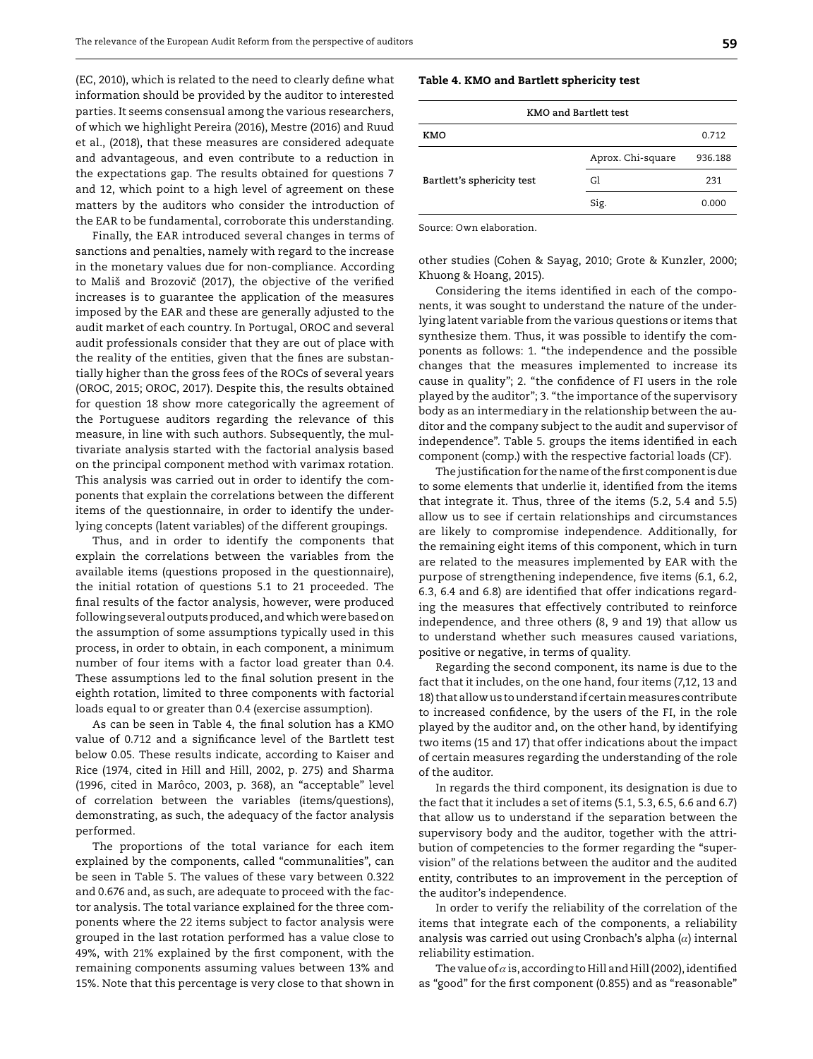(EC, 2010), which is related to the need to clearly define what information should be provided by the auditor to interested parties. It seems consensual among the various researchers, of which we highlight Pereira (2016), Mestre (2016) and Ruud et al., (2018), that these measures are considered adequate and advantageous, and even contribute to a reduction in the expectations gap. The results obtained for questions 7 and 12, which point to a high level of agreement on these matters by the auditors who consider the introduction of the EAR to be fundamental, corroborate this understanding.

Finally, the EAR introduced several changes in terms of sanctions and penalties, namely with regard to the increase in the monetary values due for non-compliance. According to Mališ and Brozovič (2017), the objective of the verified increases is to guarantee the application of the measures imposed by the EAR and these are generally adjusted to the audit market of each country. In Portugal, OROC and several audit professionals consider that they are out of place with the reality of the entities, given that the fines are substantially higher than the gross fees of the ROCs of several years (OROC, 2015; OROC, 2017). Despite this, the results obtained for question 18 show more categorically the agreement of the Portuguese auditors regarding the relevance of this measure, in line with such authors. Subsequently, the multivariate analysis started with the factorial analysis based on the principal component method with varimax rotation. This analysis was carried out in order to identify the components that explain the correlations between the different items of the questionnaire, in order to identify the underlying concepts (latent variables) of the different groupings.

Thus, and in order to identify the components that explain the correlations between the variables from the available items (questions proposed in the questionnaire), the initial rotation of questions 5.1 to 21 proceeded. The final results of the factor analysis, however, were produced following several outputs produced, and which were based on the assumption of some assumptions typically used in this process, in order to obtain, in each component, a minimum number of four items with a factor load greater than 0.4. These assumptions led to the final solution present in the eighth rotation, limited to three components with factorial loads equal to or greater than 0.4 (exercise assumption).

As can be seen in Table 4, the final solution has a KMO value of 0.712 and a significance level of the Bartlett test below 0.05. These results indicate, according to Kaiser and Rice (1974, cited in Hill and Hill, 2002, p. 275) and Sharma (1996, cited in Marôco, 2003, p. 368), an "acceptable" level of correlation between the variables (items/questions), demonstrating, as such, the adequacy of the factor analysis performed.

The proportions of the total variance for each item explained by the components, called "communalities", can be seen in Table 5. The values of these vary between 0.322 and 0.676 and, as such, are adequate to proceed with the factor analysis. The total variance explained for the three components where the 22 items subject to factor analysis were grouped in the last rotation performed has a value close to 49%, with 21% explained by the first component, with the remaining components assuming values between 13% and 15%. Note that this percentage is very close to that shown in

#### Table 4. KMO and Bartlett sphericity test

| <b>KMO and Bartlett test</b> |                   |         |  |  |
|------------------------------|-------------------|---------|--|--|
| KMO                          |                   | 0.712   |  |  |
|                              | Aprox. Chi-square | 936.188 |  |  |
| Bartlett's sphericity test   | Gl                | 231     |  |  |
|                              | Sig.              | 0.000   |  |  |

Source: Own elaboration.

other studies (Cohen & Sayag, 2010; Grote & Kunzler, 2000; Khuong & Hoang, 2015).

Considering the items identified in each of the components, it was sought to understand the nature of the underlying latent variable from the various questions or items that synthesize them. Thus, it was possible to identify the components as follows: 1. "the independence and the possible changes that the measures implemented to increase its cause in quality"; 2. "the confidence of FI users in the role played by the auditor"; 3. "the importance of the supervisory body as an intermediary in the relationship between the auditor and the company subject to the audit and supervisor of independence". Table 5. groups the items identified in each component (comp.) with the respective factorial loads (CF).

The justification for the name of the first component is due to some elements that underlie it, identified from the items that integrate it. Thus, three of the items (5.2, 5.4 and 5.5) allow us to see if certain relationships and circumstances are likely to compromise independence. Additionally, for the remaining eight items of this component, which in turn are related to the measures implemented by EAR with the purpose of strengthening independence, five items (6.1, 6.2, 6.3, 6.4 and 6.8) are identified that offer indications regarding the measures that effectively contributed to reinforce independence, and three others (8, 9 and 19) that allow us to understand whether such measures caused variations, positive or negative, in terms of quality.

Regarding the second component, its name is due to the fact that it includes, on the one hand, four items (7,12, 13 and 18) that allow us to understand if certain measures contribute to increased confidence, by the users of the FI, in the role played by the auditor and, on the other hand, by identifying two items (15 and 17) that offer indications about the impact of certain measures regarding the understanding of the role of the auditor.

In regards the third component, its designation is due to the fact that it includes a set of items (5.1, 5.3, 6.5, 6.6 and 6.7) that allow us to understand if the separation between the supervisory body and the auditor, together with the attribution of competencies to the former regarding the "supervision" of the relations between the auditor and the audited entity, contributes to an improvement in the perception of the auditor's independence.

In order to verify the reliability of the correlation of the items that integrate each of the components, a reliability analysis was carried out using Cronbach's alpha  $(\alpha)$  internal reliability estimation.

The value of  $a$  is, according to Hill and Hill (2002), identified as "good" for the first component (0.855) and as "reasonable"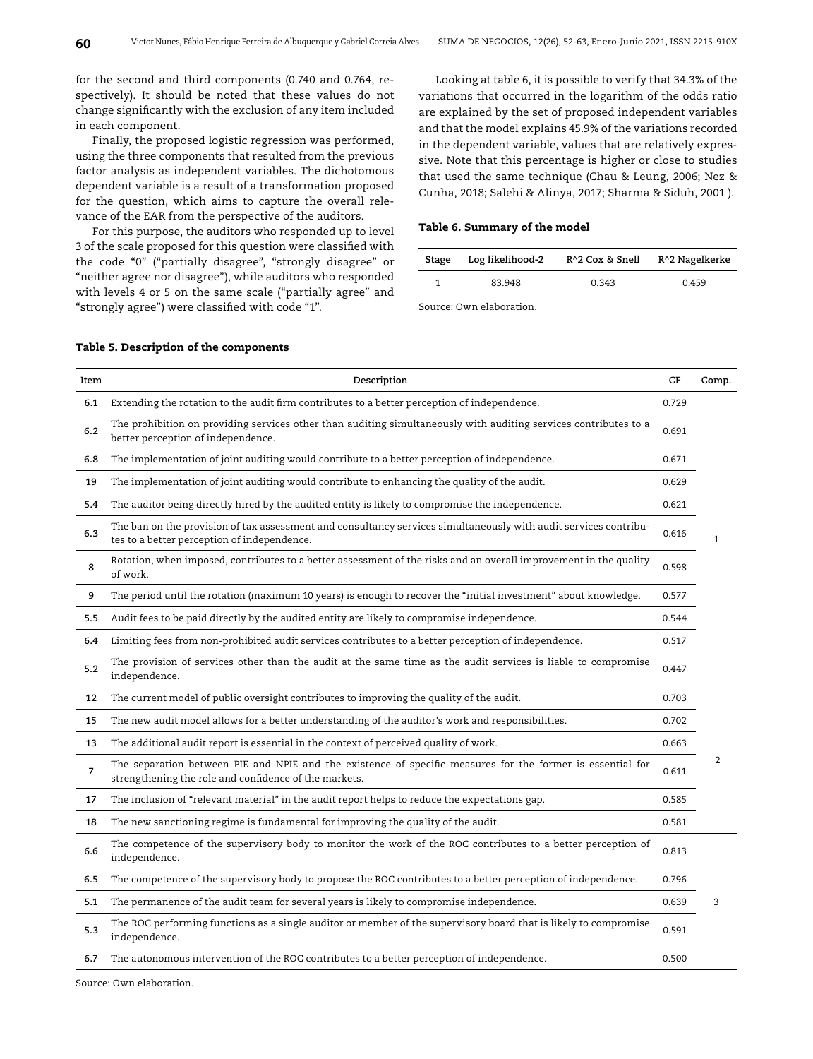for the second and third components (0.740 and 0.764, respectively). It should be noted that these values do not change significantly with the exclusion of any item included in each component.

Finally, the proposed logistic regression was performed, using the three components that resulted from the previous factor analysis as independent variables. The dichotomous dependent variable is a result of a transformation proposed for the question, which aims to capture the overall relevance of the EAR from the perspective of the auditors.

For this purpose, the auditors who responded up to level 3 of the scale proposed for this question were classified with the code "0" ("partially disagree", "strongly disagree" or "neither agree nor disagree"), while auditors who responded with levels 4 or 5 on the same scale ("partially agree" and "strongly agree") were classified with code "1".

Looking at table 6, it is possible to verify that 34.3% of the variations that occurred in the logarithm of the odds ratio are explained by the set of proposed independent variables and that the model explains 45.9% of the variations recorded in the dependent variable, values that are relatively expressive. Note that this percentage is higher or close to studies that used the same technique (Chau & Leung, 2006; Nez & Cunha, 2018; Salehi & Alinya, 2017; Sharma & Siduh, 2001 ).

#### Table 6. Summary of the model

| Stage | Log likelihood-2 | R <sup>^</sup> 2 Cox & Snell | R^2 Nagelkerke |
|-------|------------------|------------------------------|----------------|
|       | 83.948           | 0.343                        | 0.459          |

Source: Own elaboration.

|                |                                                                                                                                                                     | CF    |                |
|----------------|---------------------------------------------------------------------------------------------------------------------------------------------------------------------|-------|----------------|
| Item           | Description                                                                                                                                                         |       | Comp.          |
| 6.1            | Extending the rotation to the audit firm contributes to a better perception of independence.                                                                        | 0.729 |                |
| 6.2            | The prohibition on providing services other than auditing simultaneously with auditing services contributes to a<br>better perception of independence.              | 0.691 |                |
| 6.8            | The implementation of joint auditing would contribute to a better perception of independence.                                                                       | 0.671 |                |
| 19             | The implementation of joint auditing would contribute to enhancing the quality of the audit.                                                                        | 0.629 |                |
| 5.4            | The auditor being directly hired by the audited entity is likely to compromise the independence.                                                                    | 0.621 |                |
| 6.3            | The ban on the provision of tax assessment and consultancy services simultaneously with audit services contribu-<br>tes to a better perception of independence.     | 0.616 | $\mathbf{1}$   |
| 8              | Rotation, when imposed, contributes to a better assessment of the risks and an overall improvement in the quality<br>of work.                                       | 0.598 |                |
| 9              | The period until the rotation (maximum 10 years) is enough to recover the "initial investment" about knowledge.                                                     | 0.577 |                |
| 5.5            | Audit fees to be paid directly by the audited entity are likely to compromise independence.                                                                         | 0.544 |                |
| 6.4            | Limiting fees from non-prohibited audit services contributes to a better perception of independence.                                                                | 0.517 |                |
| 5.2            | The provision of services other than the audit at the same time as the audit services is liable to compromise<br>independence.                                      | 0.447 |                |
| 12             | The current model of public oversight contributes to improving the quality of the audit.                                                                            | 0.703 |                |
| 15             | The new audit model allows for a better understanding of the auditor's work and responsibilities.                                                                   | 0.702 |                |
| 13             | The additional audit report is essential in the context of perceived quality of work.                                                                               | 0.663 |                |
| $\overline{7}$ | The separation between PIE and NPIE and the existence of specific measures for the former is essential for<br>strengthening the role and confidence of the markets. | 0.611 | $\overline{2}$ |
| 17             | The inclusion of "relevant material" in the audit report helps to reduce the expectations gap.                                                                      | 0.585 |                |
| 18             | The new sanctioning regime is fundamental for improving the quality of the audit.                                                                                   | 0.581 |                |
| 6.6            | The competence of the supervisory body to monitor the work of the ROC contributes to a better perception of<br>independence.                                        | 0.813 |                |
| 6.5            | The competence of the supervisory body to propose the ROC contributes to a better perception of independence.                                                       | 0.796 |                |
| 5.1            | The permanence of the audit team for several years is likely to compromise independence.                                                                            | 0.639 | 3              |
| 5.3            | The ROC performing functions as a single auditor or member of the supervisory board that is likely to compromise<br>independence.                                   | 0.591 |                |
| 6.7            | The autonomous intervention of the ROC contributes to a better perception of independence.                                                                          | 0.500 |                |

#### Table 5. Description of the components

Source: Own elaboration.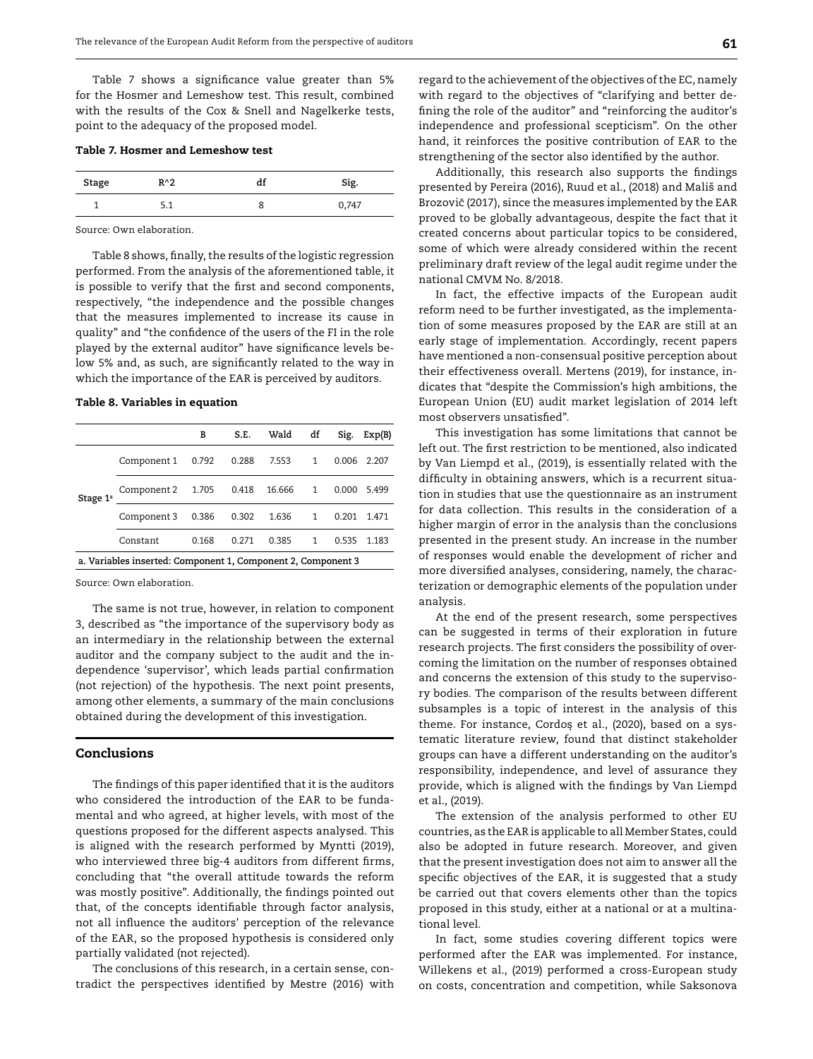Table 7 shows a significance value greater than 5% for the Hosmer and Lemeshow test. This result, combined with the results of the Cox & Snell and Nagelkerke tests, point to the adequacy of the proposed model.

| Stage | $R^2$     | uι | Sig.  |
|-------|-----------|----|-------|
|       | ×<br>J. 1 |    | 0,747 |

Source: Own elaboration.

Table 8 shows, finally, the results of the logistic regression performed. From the analysis of the aforementioned table, it is possible to verify that the first and second components, respectively, "the independence and the possible changes that the measures implemented to increase its cause in quality" and "the confidence of the users of the FI in the role played by the external auditor" have significance levels below 5% and, as such, are significantly related to the way in which the importance of the EAR is perceived by auditors.

#### Table 8. Variables in equation

|                      |                                                              | в     | S.E.  | Wald   | df | Sig.  | Exp(B) |
|----------------------|--------------------------------------------------------------|-------|-------|--------|----|-------|--------|
| Stage 1 <sup>a</sup> | Component 1                                                  | 0.792 | 0.288 | 7.553  | 1  | 0.006 | 2.207  |
|                      | Component 2 1.705                                            |       | 0.418 | 16.666 | 1  | 0.000 | 5.499  |
|                      | Component 3                                                  | 0.386 | 0.302 | 1.636  | 1  | 0.201 | 1.471  |
|                      | Constant                                                     | 0.168 | 0.271 | 0.385  | 1  | 0.535 | 1.183  |
|                      | a. Variables inserted: Component 1, Component 2, Component 3 |       |       |        |    |       |        |

Source: Own elaboration.

The same is not true, however, in relation to component 3, described as "the importance of the supervisory body as an intermediary in the relationship between the external auditor and the company subject to the audit and the independence 'supervisor', which leads partial confirmation (not rejection) of the hypothesis. The next point presents, among other elements, a summary of the main conclusions obtained during the development of this investigation.

#### Conclusions

The findings of this paper identified that it is the auditors who considered the introduction of the EAR to be fundamental and who agreed, at higher levels, with most of the questions proposed for the different aspects analysed. This is aligned with the research performed by Myntti (2019), who interviewed three big-4 auditors from different firms, concluding that "the overall attitude towards the reform was mostly positive". Additionally, the findings pointed out that, of the concepts identifiable through factor analysis, not all influence the auditors' perception of the relevance of the EAR, so the proposed hypothesis is considered only partially validated (not rejected).

The conclusions of this research, in a certain sense, contradict the perspectives identified by Mestre (2016) with regard to the achievement of the objectives of the EC, namely with regard to the objectives of "clarifying and better defining the role of the auditor" and "reinforcing the auditor's independence and professional scepticism". On the other hand, it reinforces the positive contribution of EAR to the strengthening of the sector also identified by the author.

Additionally, this research also supports the findings presented by Pereira (2016), Ruud et al., (2018) and Mališ and Brozovič (2017), since the measures implemented by the EAR proved to be globally advantageous, despite the fact that it created concerns about particular topics to be considered, some of which were already considered within the recent preliminary draft review of the legal audit regime under the national CMVM No. 8/2018.

In fact, the effective impacts of the European audit reform need to be further investigated, as the implementation of some measures proposed by the EAR are still at an early stage of implementation. Accordingly, recent papers have mentioned a non-consensual positive perception about their effectiveness overall. Mertens (2019), for instance, indicates that "despite the Commission's high ambitions, the European Union (EU) audit market legislation of 2014 left most observers unsatisfied".

This investigation has some limitations that cannot be left out. The first restriction to be mentioned, also indicated by Van Liempd et al., (2019), is essentially related with the difficulty in obtaining answers, which is a recurrent situation in studies that use the questionnaire as an instrument for data collection. This results in the consideration of a higher margin of error in the analysis than the conclusions presented in the present study. An increase in the number of responses would enable the development of richer and more diversified analyses, considering, namely, the characterization or demographic elements of the population under analysis.

At the end of the present research, some perspectives can be suggested in terms of their exploration in future research projects. The first considers the possibility of overcoming the limitation on the number of responses obtained and concerns the extension of this study to the supervisory bodies. The comparison of the results between different subsamples is a topic of interest in the analysis of this theme. For instance, Cordos et al., (2020), based on a sys-*˛* tematic literature review, found that distinct stakeholder groups can have a different understanding on the auditor's responsibility, independence, and level of assurance they provide, which is aligned with the findings by Van Liempd et al., (2019).

The extension of the analysis performed to other EU countries, as the EAR is applicable to all Member States, could also be adopted in future research. Moreover, and given that the present investigation does not aim to answer all the specific objectives of the EAR, it is suggested that a study be carried out that covers elements other than the topics proposed in this study, either at a national or at a multinational level.

In fact, some studies covering different topics were performed after the EAR was implemented. For instance, Willekens et al., (2019) performed a cross-European study on costs, concentration and competition, while Saksonova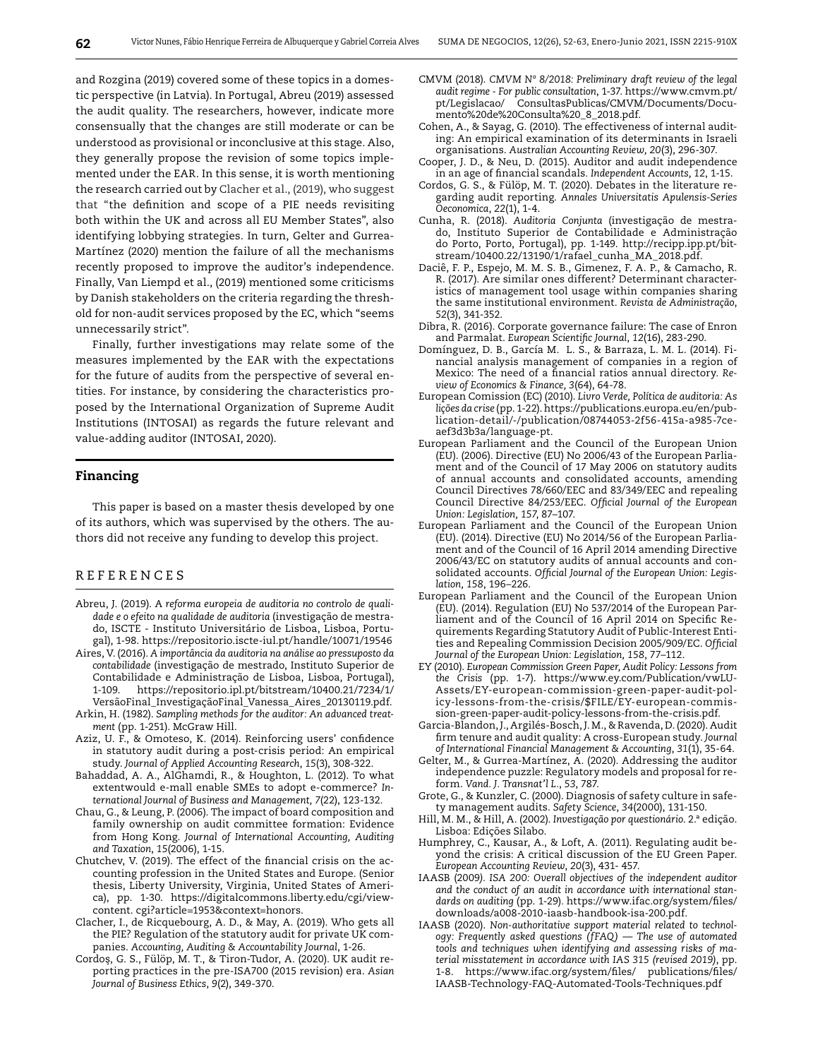and Rozgina (2019) covered some of these topics in a domestic perspective (in Latvia). In Portugal, Abreu (2019) assessed the audit quality. The researchers, however, indicate more consensually that the changes are still moderate or can be understood as provisional or inconclusive at this stage. Also, they generally propose the revision of some topics implemented under the EAR. In this sense, it is worth mentioning the research carried out by Clacher et al., (2019), who suggest that "the definition and scope of a PIE needs revisiting both within the UK and across all EU Member States", also identifying lobbying strategies. In turn, Gelter and Gurrea-Martínez (2020) mention the failure of all the mechanisms recently proposed to improve the auditor's independence. Finally, Van Liempd et al., (2019) mentioned some criticisms by Danish stakeholders on the criteria regarding the threshold for non-audit services proposed by the EC, which "seems unnecessarily strict".

Finally, further investigations may relate some of the measures implemented by the EAR with the expectations for the future of audits from the perspective of several entities. For instance, by considering the characteristics proposed by the International Organization of Supreme Audit Institutions (INTOSAI) as regards the future relevant and value-adding auditor (INTOSAI, 2020).

#### Financing

This paper is based on a master thesis developed by one of its authors, which was supervised by the others. The authors did not receive any funding to develop this project.

### R E F E R E N C E S

- Abreu, J. (2019). A *reforma europeia de auditoria no controlo de qualidade e o efeito na qualidade de auditoria* (investigação de mestrado, ISCTE - Instituto Universitário de Lisboa, Lisboa, Portugal), 1-98.<https://repositorio.iscte-iul.pt/handle/10071/19546>
- Aires, V. (2016). *A importância da auditoria na análise ao pressuposto da contabilidade* (investigação de mestrado, Instituto Superior de Contabilidade e Administração de Lisboa, Lisboa, Portugal), 1-109. [https://repositorio.ipl.pt/bitstream/10400.21/7234/1/](https://repositorio.ipl.pt/bitstream/10400.21/7234/1/Vers�oFinal_Investiga��oFinal_Vanessa_Aires_20130119.pdf) [VersãoFinal\\_InvestigaçãoFinal\\_Vanessa\\_Aires\\_20130119.pdf.](https://repositorio.ipl.pt/bitstream/10400.21/7234/1/Vers�oFinal_Investiga��oFinal_Vanessa_Aires_20130119.pdf)
- Arkin, H. (1982). *Sampling methods for the auditor: An advanced treatment* (pp. 1-251). McGraw Hill.
- Aziz, U. F., & Omoteso, K. (2014). Reinforcing users' confidence in statutory audit during a post-crisis period: An empirical study. *Journal of Applied Accounting Research*, *15*(3), 308-322.
- Bahaddad, A. A., AlGhamdi, R., & Houghton, L. (2012). To what extentwould e-mall enable SMEs to adopt e-commerce? *International Journal of Business and Management, 7*(22), 123-132.
- Chau, G., & Leung, P. (2006). The impact of board composition and family ownership on audit committee formation: Evidence from Hong Kong. *Journal of International Accounting, Auditing and Taxation*, *15*(2006), 1-15.
- Chutchev, V. (2019). The effect of the financial crisis on the accounting profession in the United States and Europe. (Senior thesis, Liberty University, Virginia, United States of America), pp. 1-30. [https://digitalcommons.liberty.edu/cgi/view](https://digitalcommons.liberty.edu/cgi/viewcontent. cgi?article=1953&context=honors)[content. cgi?article=1953&context=honors.](https://digitalcommons.liberty.edu/cgi/viewcontent. cgi?article=1953&context=honors)
- Clacher, I., de Ricquebourg, A. D., & May, A. (2019). Who gets all the PIE? Regulation of the statutory audit for private UK companies. *Accounting, Auditing & Accountability Journal*, 1-26.
- Cordos, G. S., Fülöp, M. T., & Tiron-Tudor, A. (2020). UK audit re-*˛*porting practices in the pre-ISA700 (2015 revision) era. *Asian Journal of Business Ethics*, *9*(2), 349-370.
- CMVM (2018). *CMVM Nº 8/2018: Preliminary draft review of the legal audit regime - For public consultation*, 1-37. [https://www.cmvm.pt/](https://www.cmvm.pt/pt/Legislacao/ ConsultasPublicas/CMVM/Documents/Documento de Consulta _8_2018.pdf) [pt/Legislacao/ ConsultasPublicas/CMVM/Documents/Docu](https://www.cmvm.pt/pt/Legislacao/ ConsultasPublicas/CMVM/Documents/Documento de Consulta _8_2018.pdf)[mento%20de%20Consulta%20\\_8\\_2018.pdf.](https://www.cmvm.pt/pt/Legislacao/ ConsultasPublicas/CMVM/Documents/Documento de Consulta _8_2018.pdf)
- Cohen, A., & Sayag, G. (2010). The effectiveness of internal auditing: An empirical examination of its determinants in Israeli organisations. *[Australian Accounting Review](https://www.researchgate.net/journal/1835-2561_Australian_Accounting_Review), 20*(3), 296-307.
- Cooper, J. D., & Neu, D. (2015). Auditor and audit independence in an age of financial scandals*. Independent Accounts, 12*, 1-15.
- Cordos, G. S., & Fülöp, M. T. (2020). Debates in the literature regarding audit reporting. *Annales Universitatis Apulensis-Series Oeconomica*, *22*(1), 1-4.
- Cunha, R. (2018). *Auditoria Conjunta* (investigação de mestrado, Instituto Superior de Contabilidade e Administração do Porto, Porto, Portugal), pp. 1-149. [http://recipp.ipp.pt/bit](http://recipp.ipp.pt/bitstream/10400.22/13190/1/rafael_cunha_MA_2018.pdf)[stream/10400.22/13190/1/rafael\\_cunha\\_MA\\_2018.pdf.](http://recipp.ipp.pt/bitstream/10400.22/13190/1/rafael_cunha_MA_2018.pdf)
- Daciê, F. P., Espejo, M. M. S. B., Gimenez, F. A. P., & Camacho, R. R. (2017). Are similar ones different? Determinant characteristics of management tool usage within companies sharing the same institutional environment. *Revista de Administração*, *52*(3), 341-352.
- Dibra, R. (2016). Corporate governance failure: The case of Enron and Parmalat. *European Scientific Journal*, *12*(16), 283-290.
- Domínguez, D. B., García M. L. S., & Barraza, L. M. L. (2014). Financial analysis management of companies in a region of Mexico: The need of a financial ratios annual directory. *Review of Economics & Finance, 3*(64), 64-78.
- European Comission (EC) (2010). *Livro Verde, Política de auditoria: As lições da crise* (pp. 1-22). [https://publications.europa.eu/en/pub](https://publications.europa.eu/en/publication-detail/-/publication/08744053-2f56-415a-a985-7ceaef3d3b3a/language-pt)[lication-detail/-/publication/08744053-2f56-415a-a985-7ce](https://publications.europa.eu/en/publication-detail/-/publication/08744053-2f56-415a-a985-7ceaef3d3b3a/language-pt)[aef3d3b3a/language-pt.](https://publications.europa.eu/en/publication-detail/-/publication/08744053-2f56-415a-a985-7ceaef3d3b3a/language-pt)
- European Parliament and the Council of the European Union (EU). (2006). Directive (EU) No 2006/43 of the European Parliament and of the Council of 17 May 2006 on statutory audits of annual accounts and consolidated accounts, amending Council Directives 78/660/EEC and 83/349/EEC and repealing Council Directive 84/253/EEC. *Official Journal of the European Union: Legislation, 157*, 87–107.
- European Parliament and the Council of the European Union (EU). (2014). Directive (EU) No 2014/56 of the European Parliament and of the Council of 16 April 2014 amending Directive 2006/43/EC on statutory audits of annual accounts and consolidated accounts. *Official Journal of the European Union: Legislation, 158*, 196–226.
- European Parliament and the Council of the European Union (EU). (2014). Regulation (EU) No 537/2014 of the European Parliament and of the Council of 16 April 2014 on Specific Requirements Regarding Statutory Audit of Public-Interest Entities and Repealing Commission Decision 2005/909/EC. *Official Journal of the European Union: Legislation, 158*, 77–112.
- EY (2010). *European Commission Green Paper, Audit Policy: Lessons from the Crisis* (pp. 1-7). [https://www.ey.com/Publication/vwLU-](https://www.ey.com/Publication/vwLUAssets/EY-european-commission-green-paper-audit-policy-lessons-from-the-crisis/$FILE/EY-european-commission-green-paper-audit-policy-lessons-from-the-crisis.pdf.)[Assets/EY-european-commission-green-paper-audit-pol](https://www.ey.com/Publication/vwLUAssets/EY-european-commission-green-paper-audit-policy-lessons-from-the-crisis/$FILE/EY-european-commission-green-paper-audit-policy-lessons-from-the-crisis.pdf.)[icy-lessons-from-the-crisis/\\$FILE/EY-european-commis](https://www.ey.com/Publication/vwLUAssets/EY-european-commission-green-paper-audit-policy-lessons-from-the-crisis/$FILE/EY-european-commission-green-paper-audit-policy-lessons-from-the-crisis.pdf.)[sion-green-paper-audit-policy-lessons-from-the-crisis.pdf](https://www.ey.com/Publication/vwLUAssets/EY-european-commission-green-paper-audit-policy-lessons-from-the-crisis/$FILE/EY-european-commission-green-paper-audit-policy-lessons-from-the-crisis.pdf.).
- Garcia-Blandon, J., Argilés-Bosch, J. M., & Ravenda, D. (2020). Audit firm tenure and audit quality: A cross-European study. *Journal of International Financial Management & Accounting*, *31*(1), 35-64.
- Gelter, M., & Gurrea-Martínez, A. (2020). Addressing the auditor independence puzzle: Regulatory models and proposal for reform. *Vand. J. Transnat'l L.*, *53*, 787.
- Grote, G., & Kunzler, C. (2000). Diagnosis of safety culture in safety management audits. *Safety Science*, *34*(2000), 131-150.
- Hill, M. M., & Hill, A. (2002). *Investigação por questionário*. 2.ª edição. Lisboa: Edições Silabo.
- Humphrey, C., Kausar, A., & Loft, A. (2011). Regulating audit beyond the crisis: A critical discussion of the EU Green Paper. *European Accounting Review*, *20*(3), 431- 457.
- IAASB (2009*). ISA 200: Overall objectives of the independent auditor and the conduct of an audit in accordance with international standards on auditing* (pp. 1-29)*.* [https://www.ifac.org/system/files/](https://www.ifac.org/system/files/downloads/a008-2010-iaasb-handbook-isa-200.pdf) [downloads/a008-2010-iaasb-handbook-isa-200.pdf](https://www.ifac.org/system/files/downloads/a008-2010-iaasb-handbook-isa-200.pdf).
- IAASB (2020). *Non-authoritative support material related to technology: Frequently asked questions (fFAQ) — The use of automated tools and techniques when identifying and assessing risks of material misstatement in accordance with IAS 315 (revised 2019)*, pp. 1-8. [https://www.ifac.org/system/files/ publications/files/](https://www.ifac.org/system/files/ publications/files/IAASB-Technology-FAQ-Automated-Tools-Techniques.pdf) [IAASB-Technology-FAQ-Automated-Tools-Techniques.pdf](https://www.ifac.org/system/files/ publications/files/IAASB-Technology-FAQ-Automated-Tools-Techniques.pdf)